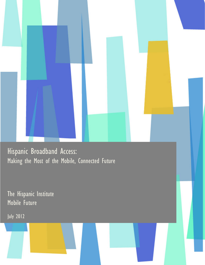Hispanic Broadband Access: Making the Most of the Mobile, Connected Future

The Hispanic Institute Mobile Future

July 2012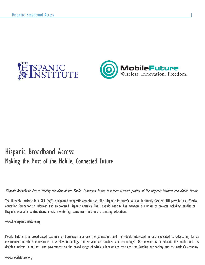



## Hispanic Broadband Access: Making the Most of the Mobile, Connected Future

Hispanic Broadband Access: Making the Most of the Mobile, Connected Future is a joint research project of The Hispanic Institute and Mobile Future.

The Hispanic Institute is a 501 (c)(3) designated nonprofit organization. The Hispanic Institute's mission is sharply focused: THI provides an effective education forum for an informed and empowered Hispanic America. The Hispanic Institute has managed a number of projects including, studies of Hispanic economic contributions, media monitoring, consumer fraud and citizenship education.

www.thehispanicinstitute.org

Mobile Future is a broad-based coalition of businesses, non-profit organizations and individuals interested in and dedicated to advocating for an environment in which innovations in wireless technology and services are enabled and encouraged. Our mission is to educate the public and key decision makers in business and government on the broad range of wireless innovations that are transforming our society and the nation's economy.

www.mobilefuture.org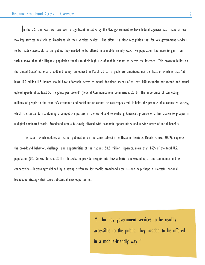In the U.S. this year, we have seen a significant initiative by the U.S. government to have federal agencies each make at least two key services available to Americans via their wireless devices. The effort is a clear recognition that for key government services to be readily accessible to the public, they needed to be offered in a mobile-friendly way. No population has more to gain from such a move than the Hispanic population thanks to their high use of mobile phones to access the Internet. This progress builds on the United States' national broadband policy, announced in March 2010. Its goals are ambitious, not the least of which is that "at least 100 million U.S. homes should have affordable access to actual download speeds of at least 100 megabits per second and actual upload speeds of at least 50 megabits per second" (Federal Communications Commission, 2010). The importance of connecting millions of people to the country's economic and social future cannot be overemphasized. It holds the promise of a connected society, which is essential to maintaining a competitive posture in the world and to realizing America's promise of a fair chance to prosper in a digital-dominated world. Broadband access is closely aligned with economic opportunities and a wide array of social benefits.

This paper, which updates an earlier publication on the same subject (The Hispanic Institute; Mobile Future, 2009), explores the broadband behavior, challenges and opportunities of the nation's 50.5 million Hispanics, more than 16% of the total U.S. population (U.S. Census Bureau, 2011). It seeks to provide insights into how a better understanding of this community and its connectivity—increasingly defined by a strong preference for mobile broadband access—can help shape a successful national broadband strategy that spurs substantial new opportunities.

> "…for key government services to be readily accessible to the public, they needed to be offered in a mobile-friendly way."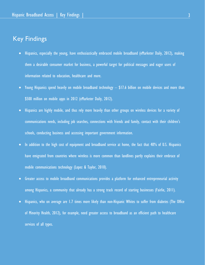## Key Findings

- Hispanics, especially the young, have enthusiastically embraced mobile broadband (eMarketer Daily, 2012), making them a desirable consumer market for business, a powerful target for political messages and eager users of information related to education, healthcare and more.
- Young Hispanics spend heavily on mobile broadband technology \$17.6 billion on mobile devices and more than \$500 million on mobile apps in 2012 (eMarketer Daily, 2012).
- Hispanics are highly mobile, and thus rely more heavily than other groups on wireless devices for a variety of communications needs, including job searches, connections with friends and family, contact with their children's schools, conducting business and accessing important government information.
- In addition to the high cost of equipment and broadband service at home, the fact that 40% of U.S. Hispanics have emigrated from countries where wireless is more common than landlines partly explains their embrace of mobile communications technology (Lopez & Taylor, 2010).
- Greater access to mobile broadband communications provides a platform for enhanced entrepreneurial activity among Hispanics, a community that already has a strong track record of starting businesses (Fairlie, 2011).
- Hispanics, who on average are 1.7 times more likely than non-Hispanic Whites to suffer from diabetes (The Office of Minority Health, 2012), for example, need greater access to broadband as an efficient path to healthcare services of all types.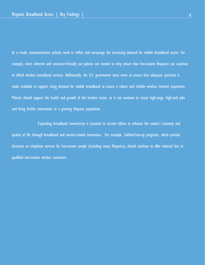As a result, communications policies need to reflect and encourage the increasing demand for mobile broadband access. For example, more coherent and consumer-friendly tax policies are needed to help ensure that low-income Hispanics can continue to afford wireless broadband services. Additionally, the U.S. government must move to ensure that adequate spectrum is made available to support rising demand for mobile broadband to ensure a robust and reliable wireless Internet experience. Policies should support the health and growth of the wireless sector, so it can continue to create high-wage, high-tech jobs and bring further innovations to a growing Hispanic population.

 Expanding broadband connectivity is essential to current efforts to enhance the nation's economy and quality of life through broadband and wireless-fueled innovation. For example, Lifeline/Link-up programs, which provide discounts on telephone services for low-income people (including many Hispanics), should continue to offer reduced fees to qualified low-income wireless customers.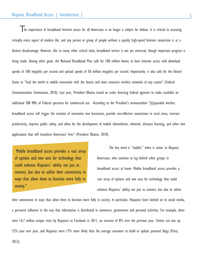The importance of broadband Internet access for all Americans is no longer a subject for debate. It is critical to accessing virtually every aspect of modern life, and any person or group of people without a quality high-speed Internet connection is at a distinct disadvantage. However, like so many other critical tools, broadband service is not yet universal, though important progress is being made. Among other goals, the National Broadband Plan calls for 100 million homes to have Internet access with download speeds of 100 megabits per second and upload speeds of 50 million megabits per second. Importantly, it also calls for the United States to "lead the world in mobile innovation with the fastest and most extensive wireless networks of any nation" (Federal Communications Commission, 2010). Last year, President Obama issued an order directing federal agencies to make available an additional 500 MHz of Federal spectrum for commercial use. According to the President's memorandum "[e]xpanded wireless broadband access will trigger the creation of innovative new businesses, provide cost-effective connections in rural areas, increase productivity, improve public safety, and allow for the development of mobile telemedicine, telework, distance learning, and other new applications that will transform Americans' lives" (President Obama, 2010).

"Mobile broadband access provides a vast array of options and new uses for technology that could enhance Hispanics' ability not just to connect, but also to utilize their connections in ways that allow them to function more fully in society."

The key word is "mobile," when it comes to Hispanic Americans, who continue to lag behind other groups in broadband access at home. Mobile broadband access provides a vast array of options and new uses for technology that could enhance Hispanics' ability not just to connect, but also to utilize

their connections in ways that allow them to function more fully in society. In particular, Hispanics have latched on to social media, a pervasive influence in the way that information is distributed in commerce, government and personal activities. For example, there were 16.7 million unique visits by Hispanics to Facebook in 2011, an increase of 8% over the previous year. Twitter use was up 32% year over year, and Hispanics were 17% more likely than the average consumer to build or update personal blogs (Perez,

2012).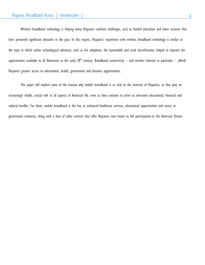Wireless broadband technology is helping many Hispanics confront challenges, such as limited education and lower incomes that have presented significant obstacles in the past. In this respect, Hispanics' experience with wireless broadband technology is similar to the ways in which earlier technological advances, such as the telephone, the automobile and rural electrification, helped to improve the opportunities available to all Americans in the early  $20<sup>th</sup>$  century. Broadband connectivity – and wireless Internet in particular – affords Hispanics greater access to educational, health, government and business opportunities.

This paper will explore some of the reasons why mobile broadband is so vital to the interests of Hispanics, as they play an increasingly visible, crucial role in all aspects of American life, even as they continue to strive to overcome educational, financial and cultural hurdles. For them, mobile broadband is the key to enhanced healthcare services, educational opportunities and access to government resources, along with a host of other services that offer Hispanics new routes to full participation in the American Dream.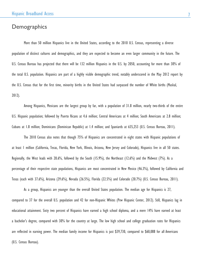#### **Demographics**

More than 50 million Hispanics live in the United States, according to the 2010 U.S. Census, representing a diverse population of distinct cultures and demographics, and they are expected to become an even larger community in the future. The U.S. Census Bureau has projected that there will be 132 million Hispanics in the U.S. by 2050, accounting for more than 30% of the total U.S. population. Hispanics are part of a highly visible demographic trend, notably underscored in the May 2012 report by the U.S. Census that for the first time, minority births in the United States had surpassed the number of White births (Muskal, 2012).

Among Hispanics, Mexicans are the largest group by far, with a population of 31.8 million, nearly two-thirds of the entire U.S. Hispanic population; followed by Puerto Ricans at 4.6 million; Central Americans at 4 million; South Americans at 2.8 million; Cubans at 1.8 million; Dominicans (Dominican Republic) at 1.4 million; and Spaniards at 635,253 (U.S. Census Bureau, 2011).

The 2010 Census also notes that though 75% of Hispanics are concentrated in eight states with Hispanic populations of at least 1 million (California, Texas, Florida, New York, Illinois, Arizona, New Jersey and Colorado), Hispanics live in all 50 states. Regionally, the West leads with 28.6%, followed by the South (15.9%), the Northeast (12.6%) and the Midwest (7%). As a percentage of their respective state populations, Hispanics are most concentrated in New Mexico (46.3%), followed by California and Texas (each with 37.6%), Arizona (29.6%), Nevada (26.5%), Florida (22.5%) and Colorado (20.7%) (U.S. Census Bureau, 2011).

As a group, Hispanics are younger than the overall United States population. The median age for Hispanics is 27, compared to 37 for the overall U.S. population and 42 for non-Hispanic Whites (Pew Hispanic Center, 2012). Still, Hispanics lag in educational attainment. Sixty two percent of Hispanics have earned a high school diploma, and a mere 14% have earned at least a bachelor's degree, compared with 30% for the country at large. The low high school and college graduation rates for Hispanics are reflected in earning power. The median family income for Hispanics is just \$39,730, compared to \$60,088 for all Americans (U.S. Census Bureau).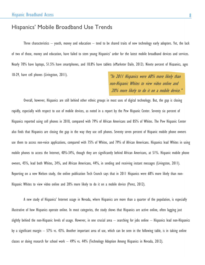#### Hispanics' Mobile Broadband Use Trends

Three characteristics  $-$  youth, money and education  $-$  tend to be shared traits of new technology early adopters. Yet, the lack of two of those, money and education, have failed to stem young Hispanics' ardor for the latest mobile broadband devices and services. Nearly 70% have laptops, 51.5% have smartphones, and 18.8% have tablets (eMarketer Daily, 2012). Ninety percent of Hispanics, ages 18-29, have cell phones (Livingston, 2011).

"In 2011 Hispanics were 68% more likely than non-Hispanic Whites to view video online and 20% more likely to do it on a mobile device."

Overall, however, Hispanics are still behind other ethnic groups in most uses of digital technology. But, the gap is closing rapidly, especially with respect to use of mobile devices, as noted in a report by the Pew Hispanic Center. Seventy six percent of Hispanics reported using cell phones in 2010, compared with 79% of African Americans and 85% of Whites. The Pew Hispanic Center also finds that Hispanics are closing the gap in the way they use cell phones. Seventy seven percent of Hispanic mobile phone owners use them to access non-voice applications, compared with 75% of Whites, and 79% of African Americans. Hispanics lead Whites in using mobile phones to access the Internet, 40%-34%, though they are significantly behind African Americans, at 51%. Hispanic mobile phone owners, 45%, lead both Whites, 24%, and African Americans, 44%, in sending and receiving instant messages (Livingston, 2011). Reporting on a new Nielsen study, the online publication Tech Crunch says that in 2011 Hispanics were 68% more likely than non-Hispanic Whites to view video online and 20% more likely to do it on a mobile device (Perez, 2012).

A new study of Hispanics' Internet usage in Nevada, where Hispanics are more than a quarter of the population, is especially illustrative of how Hispanics operate online. In most categories, the study shows that Hispanics are active online, often lagging just slightly behind the non-Hispanic levels of usage. However, in one crucial area – searching for jobs online – Hispanics lead non-Hispanics by a significant margin – 57% vs. 43%. Another important area of use, which can be seen in the following table, is in taking online classes or doing research for school work – 49% vs. 44% (Technology Adoption Among Hispanics in Nevada, 2012).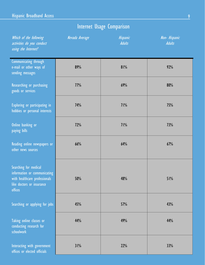# Internet Usage Comparison

| Which of the following<br>activities do you conduct<br>using the Internet?                                                     | Nevada Average | Hispanic<br><b>Adults</b> | Non- Hispanic<br><b>Adults</b> |
|--------------------------------------------------------------------------------------------------------------------------------|----------------|---------------------------|--------------------------------|
| Communicating through<br>e-mail or other ways of<br>sending messages                                                           | 89%            | 81%                       | 92%                            |
| Researching or purchasing<br>goods or services                                                                                 | 77%            | 69%                       | 80%                            |
| Exploring or participating in<br>hobbies or personal interests                                                                 | 74%            | 71%                       | <b>75%</b>                     |
| Online banking or<br>paying bills                                                                                              | 72%            | 71%                       | 73%                            |
| Reading online newspapers or<br>other news sources                                                                             | 66%            | 64%                       | 67%                            |
| Searching for medical<br>information or communicating<br>with healthcare professionals<br>like doctors or insurance<br>offices | 50%            | 48%                       | 51%                            |
| Searching or applying for jobs                                                                                                 | 45%            | 57%                       | 43%                            |
| Taking online classes or<br>conducting research for<br>schoolwork                                                              | 44%            | 49%                       | 44%                            |
| Interacting with government<br>offices or elected officials                                                                    | 31%            | 22%                       | 33%                            |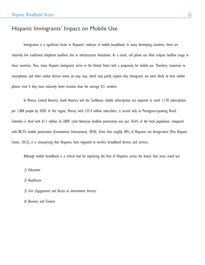### Hispanic Immigrants' Impact on Mobile Use

Immigration is a significant factor in Hispanics' embrace of mobile broadband. In many developing countries, there are relatively few traditional telephone landlines due to infrastructure limitations. As a result, cell phone use often eclipses landline usage in those countries. Thus, many Hispanic immigrants arrive in the United States with a propensity for mobile use. Therefore, transition to smartphones and other similar devices seems an easy step, which may partly explain why immigrants are more likely to have mobile phones even if they have relatively lower incomes than the average U.S. resident.

In Mexico, Central America, South America and the Caribbean, mobile subscriptions are expected to reach 1,170 subscriptions per 1,000 people by 2020. In this region, Mexico, with 135.4 million subscribers, is second only to Portuguese-speaking Brazil. Colombia is third with 61.1 million. In 2009, Latin American landline penetration was just 18.6% of the total population, compared with 88.2% mobile penetration (Euromonitor International, 2010). Given that roughly 40% of Hispanics are foreign-born (Pew Hispanic Center, 2012), it is unsurprising that Hispanics have migrated to wireless broadband devices and services.

Although mobile broadband is a critical tool for improving the lives of Hispanics across the board, four areas stand out:

1) Education

2) Healthcare

3) Civic Engagement and Access to Government Services

4) Business and Finance.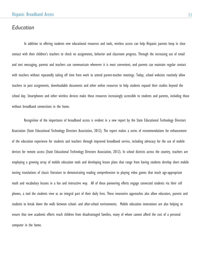#### *Education*

In addition to offering students new educational resources and tools, wireless access can help Hispanic parents keep in close contact with their children's teachers to check on assignments, behavior and classroom progress. Through the increasing use of email and text messaging, parents and teachers can communicate whenever it is most convenient, and parents can maintain regular contact with teachers without repeatedly taking off time from work to attend parent-teacher meetings. Today, school websites routinely allow teachers to post assignments, downloadable documents and other online resources to help students expand their studies beyond the school day. Smartphones and other wireless devices make those resources increasingly accessible to students and parents, including those without broadband connections in the home.

Recognition of the importance of broadband access is evident in a new report by the State Educational Technology Directors Association (State Educational Technology Directors Association, 2012). The report makes a series of recommendations for enhancement of the education experience for students and teachers through improved broadband service, including advocacy for the use of mobile devices for remote access (State Educational Technology Directors Association, 2012). In school districts across the country, teachers are employing a growing array of mobile education tools and developing lesson plans that range from having students develop short mobile texting translations of classic literature to demonstrating reading comprehension to playing video games that teach age-appropriate math and vocabulary lessons in a fun and interactive way. All of these pioneering efforts engage connected students via their cell phones, a tool the students view as an integral part of their daily lives. These innovative approaches also allow educators, parents and students to break down the walls between school- and after-school environments. Mobile education innovations are also helping to ensure that new academic efforts reach children from disadvantaged families, many of whom cannot afford the cost of a personal computer in the home.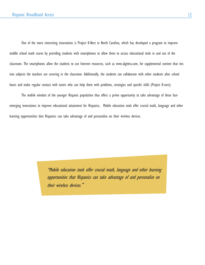One of the more interesting innovations is Project K-Nect in North Carolina, which has developed a program to improve middle school math scores by providing students with smartphones to allow them to access educational tools in and out of the classroom. The smartphones allow the students to use Internet resources, such as www.algebra.com, for supplemental content that ties into subjects the teachers are covering in the classroom. Additionally, the students can collaborate with other students after school hours and make regular contact with tutors who can help them with problems, strategies and specific skills (Project K-nect).

The mobile mindset of the younger Hispanic population thus offers a prime opportunity to take advantage of these fastemerging innovations to improve educational attainment for Hispanics. Mobile education tools offer crucial math, language and other learning opportunities that Hispanics can take advantage of and personalize on their wireless devices.

> "Mobile education tools offer crucial math, language and other learning opportunities that Hispanics can take advantage of and personalize on their wireless devices."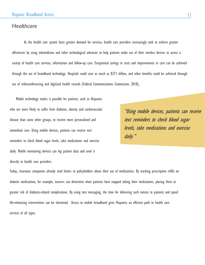#### *Healthcare*

As the health care system faces greater demand for services, health care providers increasingly seek to achieve greater efficiencies by using telemedicine and other technological advances to help patients make use of their wireless devices to access a variety of health care services, information and follow-up care. Exceptional savings in costs and improvements in care can be achieved through the use of broadband technology. Hospitals could save as much as \$371 billion, and other benefits could be achieved through use of videoconferencing and digitized health records (Federal Communications Commission, 2010).

Mobile technology makes it possible for patients, such as Hispanics who are more likely to suffer from diabetes, obesity and cardiovascular disease than some other groups, to receive more personalized and immediate care. Using mobile devices, patients can receive text reminders to check blood sugar levels, take medications and exercise daily. Mobile monitoring devices can log patient data and send it directly to health care providers.

"Using mobile devices, patients can receive text reminders to check blood sugar levels, take medications and exercise daily."

Today, insurance companies already send letters to policyholders about their use of medications. By tracking prescription refills on diabetic medications, for example, insurers can determine when patients have stopped taking their medications, placing them at greater risk of diabetes-related complications. By using text messaging, the time for delivering such notices to patients and speed life-enhancing interventions can be shortened. Access to mobile broadband gives Hispanics an efficient path to health care services of all types.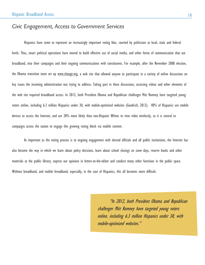## *Civic Engagement, Access to Government Services*

Hispanics have come to represent an increasingly important voting bloc, courted by politicians at local, state and federal levels. Thus, smart political operations have moved to build effective use of social media, and other forms of communication that use broadband, into their campaigns and their ongoing communications with constituents. For example, after the November 2008 election, the Obama transition team set up [www.change.org,](http://www.change.org/) a web site that allowed anyone to participate in a variety of online discussions on key issues the incoming administration was trying to address. Taking part in these discussions, accessing videos and other elements of the web site required broadband access. In 2012, both President Obama and Republican challenger Mitt Romney have targeted young voters online, including 6.3 million Hispanics under 30, with mobile-optimized websites (Goodrich, 2012). 40% of Hispanics use mobile devices to access the Internet, and are 20% more likely than non-Hispanic Whites to view video wirelessly, so it is central to campaigns across the nation to engage this growing voting block via mobile content.

As important as the voting process is to ongoing engagement with elected officials and all public institutions, the Internet has also become the way in which we learn about policy decisions, learn about school closings on snow days, reserve books and other materials at the public library, express our opinions in letters-to-the-editor and conduct many other functions in the public space. Without broadband, and mobile broadband, especially, in the case of Hispanics, this all becomes more difficult.

> "In 2012, both President Obama and Republican challenger Mitt Romney have targeted young voters online, including 6.3 million Hispanics under 30, with mobile-optimized websites."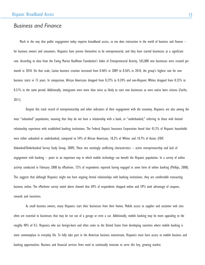#### *Business and Finance*

Much in the way that public engagement today requires broadband access, so too does interaction in the world of business and finance – for business owners and consumers. Hispanics have proven themselves to be entrepreneurial, and they have started businesses at a significant rate. According to data from the Ewing Marion Kauffman Foundation's Index of Entrepreneurial Activity, 565,000 new businesses were created per month in 2010. On that scale, Latino business creation increased from 0.46% in 2009 to 0.56% in 2010, the group's highest rate for new business starts in 15 years. In comparison, African Americans dropped from 0.27% to 0.24% and non-Hispanic Whites dropped from 0.33% to 0.31% in the same period. Additionally, immigrants were more than twice as likely to start new businesses as were native born citizens (Fairlie, 2011).

Despite this track record of entrepreneurship and other indicators of their engagement with the economy, Hispanics are also among the most "unbanked" populations, meaning that they do not have a relationship with a bank, or "underbanked," referring to those with limited relationship experience with established banking institutions. The Federal Deposit Insurance Corporation found that 43.3% of Hispanic households were either unbanked or underbanked, compared to 54% of African Americans, 18.2% of Whites and 10.7% of Asians (FDIC Unbanked/Underbanked Survey Study Group, 2009). These two seemingly conflicting characteristics – active entrepreneurship and lack of engagement with banking – point to an important way in which mobile technology can benefit the Hispanic population. In a survey of online activity conducted in February 2008 by eMarketer, 72% of respondents reported having engaged in some form of online banking (Phillips, 2008). This suggests that although Hispanics might not have ongoing formal relationships with banking institutions, they are comfortable transacting business online. The eMarketer survey noted above showed that 69% of respondents shopped online and 59% took advantage of coupons, rewards and incentives.

As small business owners, many Hispanics start their businesses from their homes. Mobile access to supplier and customer web sites often are essential to businesses that may be run out of a garage or even a car. Additionally, mobile banking may be more appealing to the roughly 40% of U.S. Hispanics who are foreign-born and often come to the United States from developing countries where mobile banking is more commonplace in everyday life. To fully take part in the American business mainstream, Hispanics must have access to mobile business and banking opportunities. Business and financial services firms need to continually innovate to serve this key, growing market.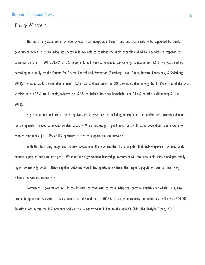#### *Policy Matters*

The move to greater use of wireless devices is an indisputable trend—and one that needs to be supported by timely government action to ensure adequate spectrum is available to continue the rapid expansion of wireless services in response to consumer demand. In 2011, 31.6% of U.S. households had wireless telephone service only, compared to 17.5% five years earlier, according to a study by the Centers for Disease Control and Prevention (Blumberg, Luke, Ganes, Davern, Boudreaux, & Soderberg, 2011). The same study showed that a mere 11.2% had landlines only. The CDC also notes that among the 31.6% of households with wireless only, 40.8% are Hispanic, followed by 32.5% of African American households and 27.6% of Whites (Blumberg & Luke, 2011).

Higher adoption and use of more sophisticated wireless devices, including smartphones and tablets, are increasing demand for the spectrum needed to expand wireless capacity. While this usage is good news for the Hispanic population, it is a cause for concern that today, just 10% of U.S. spectrum is used to support wireless networks.

With this fast-rising usage and no new spectrum in the pipeline, the FCC anticipates that mobile spectrum demand could outstrip supply as early as next year. Without timely government leadership, consumers will face unreliable service and potentially higher connectivity costs. These negative outcomes would disproportionately harm the Hispanic population due to their heavy reliance on wireless connectivity.

Conversely, if government acts in the interests of consumers to make adequate spectrum available for wireless use, new economic opportunities await. It is estimated that the addition of 500MHz of spectrum capacity for mobile use will create 500,000 American jobs across the U.S. economy and contribute nearly \$400 billion to the nation's GDP. (The Analysis Group, 2011)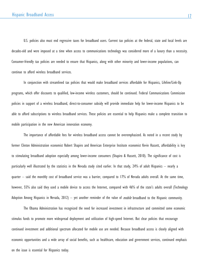U.S. policies also must end regressive taxes for broadband users. Current tax policies at the federal, state and local levels are decades-old and were imposed at a time when access to communications technology was considered more of a luxury than a necessity. Consumer-friendly tax policies are needed to ensure that Hispanics, along with other minority and lower-income populations, can continue to afford wireless broadband services.

In conjunction with streamlined tax policies that would make broadband services affordable for Hispanics, Lifeline/Link-Up programs, which offer discounts to qualified, low-income wireless customers, should be continued. Federal Communications Commission policies in support of a wireless broadband, direct-to-consumer subsidy will provide immediate help for lower-income Hispanics to be able to afford subscriptions to wireless broadband services. These policies are essential to help Hispanics make a complete transition to mobile participation in the new American innovation economy.

The importance of affordable fees for wireless broadband access cannot be overemphasized. As noted in a recent study by former Clinton Administration economist Robert Shapiro and American Enterprise Institute economist Kevin Hassett, affordability is key to stimulating broadband adoption especially among lower-income consumers (Shapiro & Hassett, 2010). The significance of cost is particularly well illustrated by the statistics in the Nevada study cited earlier. In that study, 24% of adult Hispanics – nearly a quarter – said the monthly cost of broadband service was a barrier, compared to 17% of Nevada adults overall. At the same time, however, 55% also said they used a mobile device to access the Internet, compared with 46% of the state's adults overall (Technology Adoption Among Hispanics in Nevada, 2012) — yet another reminder of the value of *mobile* broadband to the Hispanic community.

The Obama Administration has recognized the need for increased investment in infrastructure and committed some economic stimulus funds to promote more widespread deployment and utilization of high-speed Internet. But clear policies that encourage continued investment and additional spectrum allocated for mobile use are needed. Because broadband access is closely aligned with economic opportunities and a wide array of social benefits, such as healthcare, education and government services, continued emphasis on the issue is essential for Hispanics today.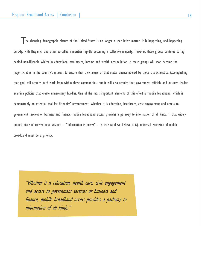The changing demographic picture of the United States is no longer a speculative matter. It is happening, and happening quickly, with Hispanics and other so-called minorities rapidly becoming a collective majority. However, those groups continue to lag behind non-Hispanic Whites in educational attainment, income and wealth accumulation. If these groups will soon become the majority, it is in the country's interest to ensure that they arrive at that status unencumbered by those characteristics. Accomplishing that goal will require hard work from within those communities, but it will also require that government officials and business leaders examine policies that create unnecessary hurdles. One of the most important elements of this effort is mobile broadband, which is demonstrably an essential tool for Hispanics' advancement. Whether it is education, healthcare, civic engagement and access to government services or business and finance, mobile broadband access provides a pathway to information of all kinds. If that widely quoted piece of conventional wisdom  $-$  "information is power"  $-$  is true (and we believe it is), universal extension of mobile broadband must be a priority.

"Whether it is education, health care, civic engagement and access to government services or business and finance, mobile broadband access provides a pathway to information of all kinds."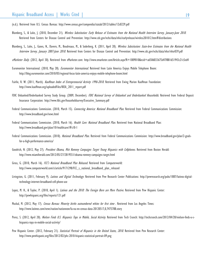(n.d.). Retrieved from U.S. Census Bureau: http://www.census.gov/compendia/statab/2012/tables/12s0229.pdf

- Blumberg, S., & Luke, J. (2010, December 21). Wireless Substitution: Early Release of Estimates from the National Health Interview Survey, January-June 2010. Retrieved from Centers for Disease Control and Prevention: http://www.cdc.gov/nchs/data/nhis/earlyrelease/wireless201012.htm#distributions
- Blumberg, S., Luke, J., Ganes, N., Davern, M., Boudreaux, M., & Soderberg, K. (2011, April 20). Wireless Substitution: State-leve Estimates from the National Health Interview Survey, January 2007-June 2010. Retrieved from Centers for Disease Control and Prevention: http://www.cdc.gov/nchs/data/nhsr/nhsr039.pdf
- eMarketer Daily. (2012, April 30). Retrieved from eMarketer.com: http://www.emarketer.com/Article.aspx?R=1009010&ecid=a6506033675d47f881651943c21c5ed4
- Euromonitor International. (2010, May 28). *Euromonitor International*. Retrieved from Latin America Enjoys Mobile Telephone Boom: http://blog.euromonitor.com/2010/05/regional-focus-latin-america-enjoys-mobile-telephone-boom.html
- Fairlie, R. W. (2011, March). Kauffman Index of Entrepreneurial Activity 1996-2010. Retrieved from Ewing Marion Kauffman Foundation: http://www.kauffman.org/uploadedFiles/KIEA\_2011\_report.pdf
- FDIC Unbanked/Underbanked Survey Study Group. (2009, December). FDIC National Survey of Unbanked and Underbanked Households. Retrieved from Federal Deposit Insurance Corporation: http://www.fdic.gov/householdsurvey/Executive\_Summary.pdf
- Federal Communications Commission. (2010, March 15). Connecting America: National Broadband Plan. Retrieved from Federal Communications Commission: http://www.broadband.gov/news.html
- Federal Communications Commission. (2010, March 16). Health Care: National Broadband Plan. Retrieved from National Broadband Plan: http://www.broadband.gov/plan/10-healthcare/#s10-1
- Federal Communications Commission. (2010). National Broadband Plan. Retrieved from Federal Communications Commission: http://www.broadband.gov/plan/2-goalsfor-a-high-performance-america/
- Goodrich, N. (2012, May 27). President Obama, Mitt Romney Campaigns Target Young Hispanics with Cellphones. Retrieved from Boston Herald: http://www.miamiherald.com/2012/05/27/2819551/obama-romney-campaigns-target.html
- Gross, G. (2010, March 16). FCC's National Broadband Plan Released. Retrieved from Computerworld: http://www.computerworld.com/s/article/9171298/FCC\_s\_national\_broadband\_plan\_released
- Livingston, G. (2011, February 9). Latinos and Digital Technology. Retrieved from Pew Research Center Publications: http://pewresearch.org/pubs/1887/latinos-digitaltechnology-internet-broadband-cell-phone-use
- Lopez, M. H., & Taylor, P. (2010, April 1). Latinos and the 2010: The Foreign Born are More Postive. Retrieved from Pew Hispanic Center: http://pewhispanic.org/files/reports/121.pdf
- Muskal, M. (2012, May 17). Census Bureau: Minority births outnumbered whites for first time. Retrieved from Los Angeles Times: http://www.latimes.com/news/nation/nationnow/la-na-nn-census-data-20120517,0,7475788.story
- Perez, S. (2012, April 20). Nielsen Finds U.S. Hispanics Tops in Mobile, Social Activity. Retrieved from Tech Crunch: http://techcrunch.com/2012/04/20/nielsen-finds-u-shispanics-tops-in-mobile-social-activity/
- Pew Hispanic Center. (2012, February 21). Statistical Portrait of Hispanics in the United States, 2010. Retrieved from Pew Research Center: http://www.pewhispanic.org/files/2012/02/phc-2010-hispanic-statistical-portrait-09.png